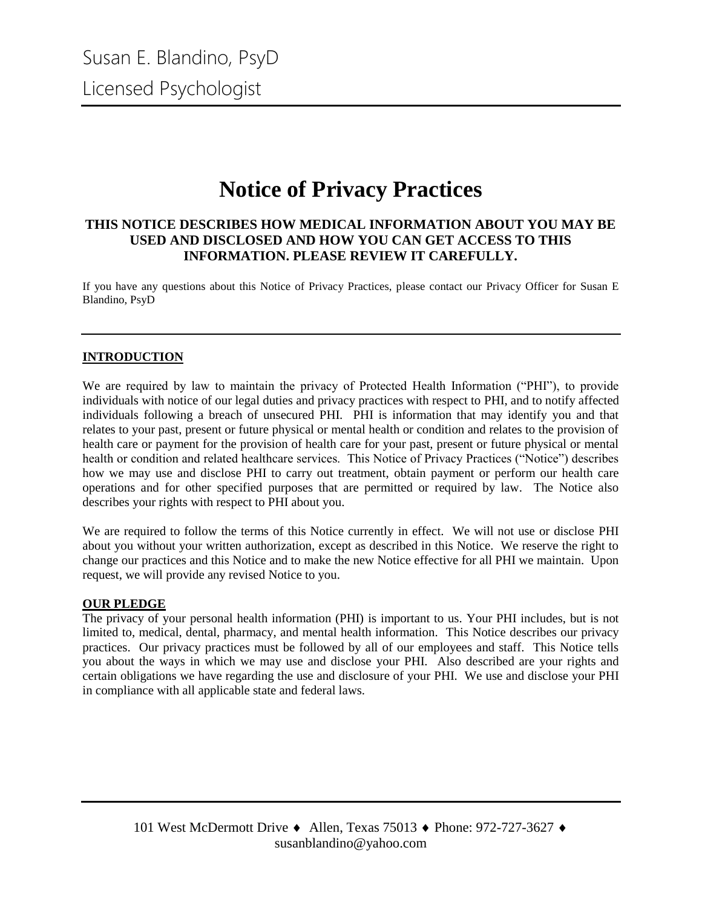## **Notice of Privacy Practices**

#### **THIS NOTICE DESCRIBES HOW MEDICAL INFORMATION ABOUT YOU MAY BE USED AND DISCLOSED AND HOW YOU CAN GET ACCESS TO THIS INFORMATION. PLEASE REVIEW IT CAREFULLY.**

If you have any questions about this Notice of Privacy Practices, please contact our Privacy Officer for Susan E Blandino, PsyD

#### **INTRODUCTION**

We are required by law to maintain the privacy of Protected Health Information ("PHI"), to provide individuals with notice of our legal duties and privacy practices with respect to PHI, and to notify affected individuals following a breach of unsecured PHI. PHI is information that may identify you and that relates to your past, present or future physical or mental health or condition and relates to the provision of health care or payment for the provision of health care for your past, present or future physical or mental health or condition and related healthcare services. This Notice of Privacy Practices ("Notice") describes how we may use and disclose PHI to carry out treatment, obtain payment or perform our health care operations and for other specified purposes that are permitted or required by law. The Notice also describes your rights with respect to PHI about you.

We are required to follow the terms of this Notice currently in effect. We will not use or disclose PHI about you without your written authorization, except as described in this Notice. We reserve the right to change our practices and this Notice and to make the new Notice effective for all PHI we maintain. Upon request, we will provide any revised Notice to you.

#### **OUR PLEDGE**

The privacy of your personal health information (PHI) is important to us. Your PHI includes, but is not limited to, medical, dental, pharmacy, and mental health information. This Notice describes our privacy practices. Our privacy practices must be followed by all of our employees and staff. This Notice tells you about the ways in which we may use and disclose your PHI. Also described are your rights and certain obligations we have regarding the use and disclosure of your PHI. We use and disclose your PHI in compliance with all applicable state and federal laws.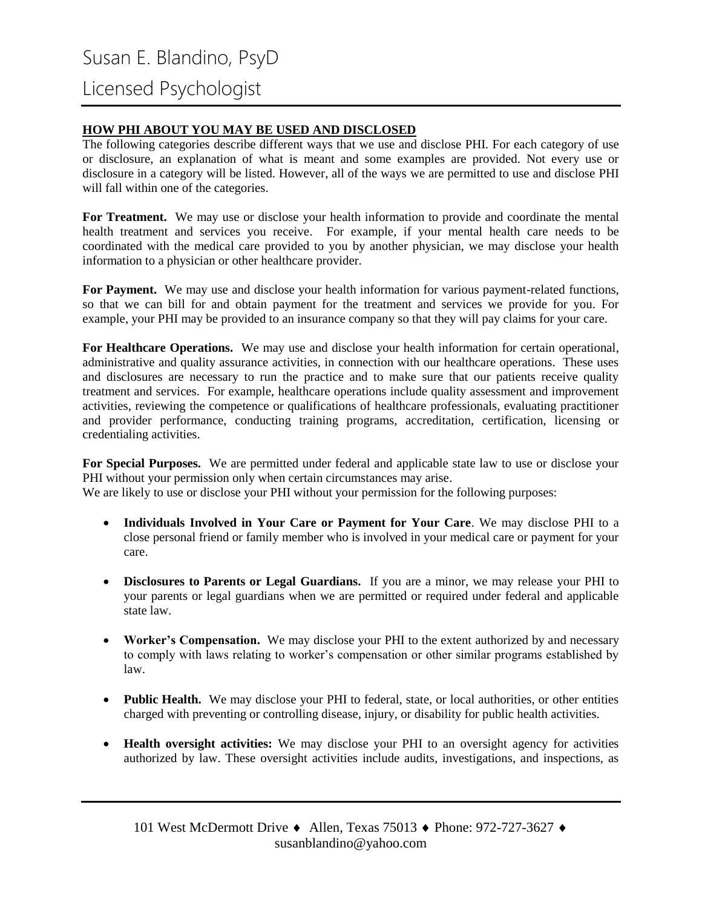#### **HOW PHI ABOUT YOU MAY BE USED AND DISCLOSED**

The following categories describe different ways that we use and disclose PHI. For each category of use or disclosure, an explanation of what is meant and some examples are provided. Not every use or disclosure in a category will be listed. However, all of the ways we are permitted to use and disclose PHI will fall within one of the categories.

**For Treatment.** We may use or disclose your health information to provide and coordinate the mental health treatment and services you receive. For example, if your mental health care needs to be coordinated with the medical care provided to you by another physician, we may disclose your health information to a physician or other healthcare provider.

**For Payment.** We may use and disclose your health information for various payment-related functions, so that we can bill for and obtain payment for the treatment and services we provide for you. For example, your PHI may be provided to an insurance company so that they will pay claims for your care.

**For Healthcare Operations.** We may use and disclose your health information for certain operational, administrative and quality assurance activities, in connection with our healthcare operations. These uses and disclosures are necessary to run the practice and to make sure that our patients receive quality treatment and services. For example, healthcare operations include quality assessment and improvement activities, reviewing the competence or qualifications of healthcare professionals, evaluating practitioner and provider performance, conducting training programs, accreditation, certification, licensing or credentialing activities.

**For Special Purposes.** We are permitted under federal and applicable state law to use or disclose your PHI without your permission only when certain circumstances may arise.

We are likely to use or disclose your PHI without your permission for the following purposes:

- **Individuals Involved in Your Care or Payment for Your Care**. We may disclose PHI to a close personal friend or family member who is involved in your medical care or payment for your care.
- **Disclosures to Parents or Legal Guardians.** If you are a minor, we may release your PHI to your parents or legal guardians when we are permitted or required under federal and applicable state law.
- **Worker's Compensation.** We may disclose your PHI to the extent authorized by and necessary to comply with laws relating to worker's compensation or other similar programs established by law.
- **Public Health.** We may disclose your PHI to federal, state, or local authorities, or other entities charged with preventing or controlling disease, injury, or disability for public health activities.
- **Health oversight activities:** We may disclose your PHI to an oversight agency for activities authorized by law. These oversight activities include audits, investigations, and inspections, as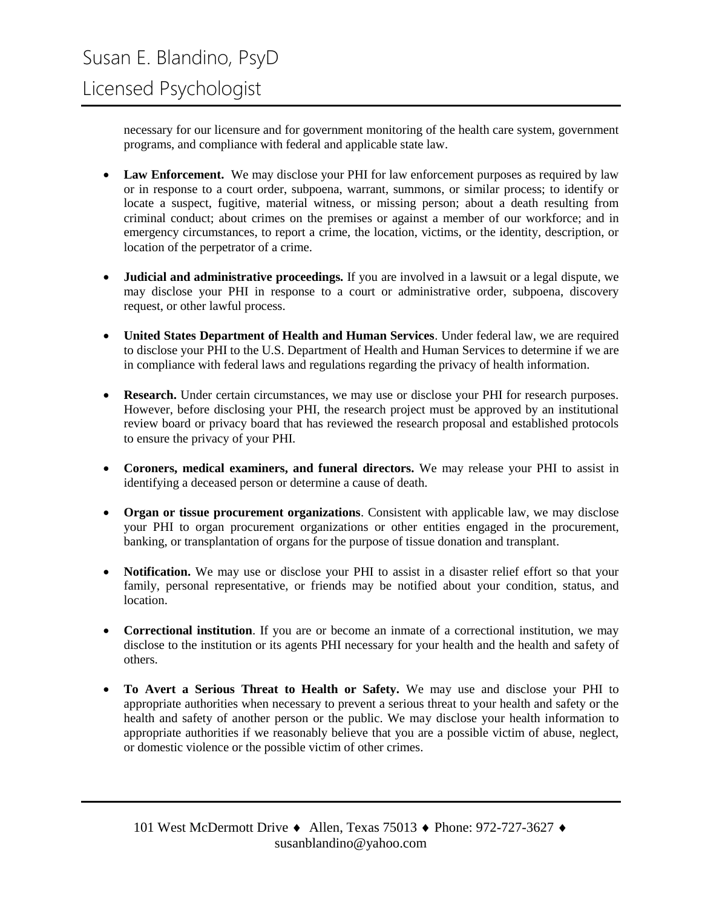necessary for our licensure and for government monitoring of the health care system, government programs, and compliance with federal and applicable state law.

- Law Enforcement. We may disclose your PHI for law enforcement purposes as required by law or in response to a court order, subpoena, warrant, summons, or similar process; to identify or locate a suspect, fugitive, material witness, or missing person; about a death resulting from criminal conduct; about crimes on the premises or against a member of our workforce; and in emergency circumstances, to report a crime, the location, victims, or the identity, description, or location of the perpetrator of a crime.
- **Judicial and administrative proceedings.** If you are involved in a lawsuit or a legal dispute, we may disclose your PHI in response to a court or administrative order, subpoena, discovery request, or other lawful process.
- **United States Department of Health and Human Services**. Under federal law, we are required to disclose your PHI to the U.S. Department of Health and Human Services to determine if we are in compliance with federal laws and regulations regarding the privacy of health information.
- **Research.** Under certain circumstances, we may use or disclose your PHI for research purposes. However, before disclosing your PHI, the research project must be approved by an institutional review board or privacy board that has reviewed the research proposal and established protocols to ensure the privacy of your PHI.
- **Coroners, medical examiners, and funeral directors.** We may release your PHI to assist in identifying a deceased person or determine a cause of death.
- **Organ or tissue procurement organizations**. Consistent with applicable law, we may disclose your PHI to organ procurement organizations or other entities engaged in the procurement, banking, or transplantation of organs for the purpose of tissue donation and transplant.
- **Notification.** We may use or disclose your PHI to assist in a disaster relief effort so that your family, personal representative, or friends may be notified about your condition, status, and location.
- **Correctional institution**. If you are or become an inmate of a correctional institution, we may disclose to the institution or its agents PHI necessary for your health and the health and safety of others.
- **To Avert a Serious Threat to Health or Safety.** We may use and disclose your PHI to appropriate authorities when necessary to prevent a serious threat to your health and safety or the health and safety of another person or the public. We may disclose your health information to appropriate authorities if we reasonably believe that you are a possible victim of abuse, neglect, or domestic violence or the possible victim of other crimes.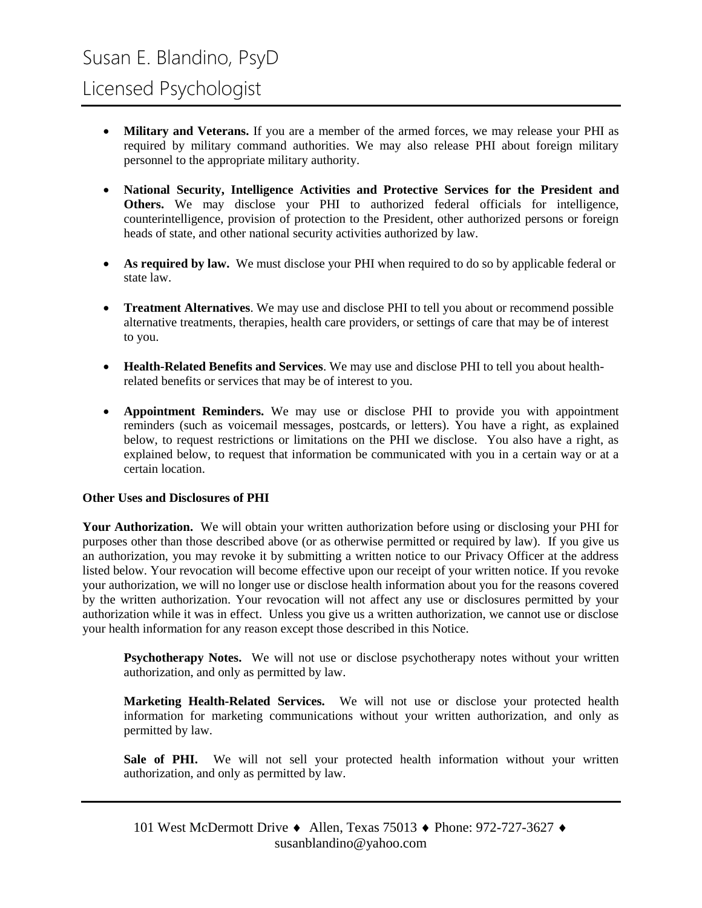## Licensed Psychologist

- **Military and Veterans.** If you are a member of the armed forces, we may release your PHI as required by military command authorities. We may also release PHI about foreign military personnel to the appropriate military authority.
- **National Security, Intelligence Activities and Protective Services for the President and Others.** We may disclose your PHI to authorized federal officials for intelligence, counterintelligence, provision of protection to the President, other authorized persons or foreign heads of state, and other national security activities authorized by law.
- As required by law. We must disclose your PHI when required to do so by applicable federal or state law.
- **Treatment Alternatives**. We may use and disclose PHI to tell you about or recommend possible alternative treatments, therapies, health care providers, or settings of care that may be of interest to you.
- **Health-Related Benefits and Services**. We may use and disclose PHI to tell you about healthrelated benefits or services that may be of interest to you.
- **Appointment Reminders.** We may use or disclose PHI to provide you with appointment reminders (such as voicemail messages, postcards, or letters). You have a right, as explained below, to request restrictions or limitations on the PHI we disclose. You also have a right, as explained below, to request that information be communicated with you in a certain way or at a certain location.

#### **Other Uses and Disclosures of PHI**

**Your Authorization.** We will obtain your written authorization before using or disclosing your PHI for purposes other than those described above (or as otherwise permitted or required by law). If you give us an authorization, you may revoke it by submitting a written notice to our Privacy Officer at the address listed below. Your revocation will become effective upon our receipt of your written notice. If you revoke your authorization, we will no longer use or disclose health information about you for the reasons covered by the written authorization. Your revocation will not affect any use or disclosures permitted by your authorization while it was in effect. Unless you give us a written authorization, we cannot use or disclose your health information for any reason except those described in this Notice.

**Psychotherapy Notes.** We will not use or disclose psychotherapy notes without your written authorization, and only as permitted by law.

**Marketing Health-Related Services.** We will not use or disclose your protected health information for marketing communications without your written authorization, and only as permitted by law.

**Sale of PHI.** We will not sell your protected health information without your written authorization, and only as permitted by law.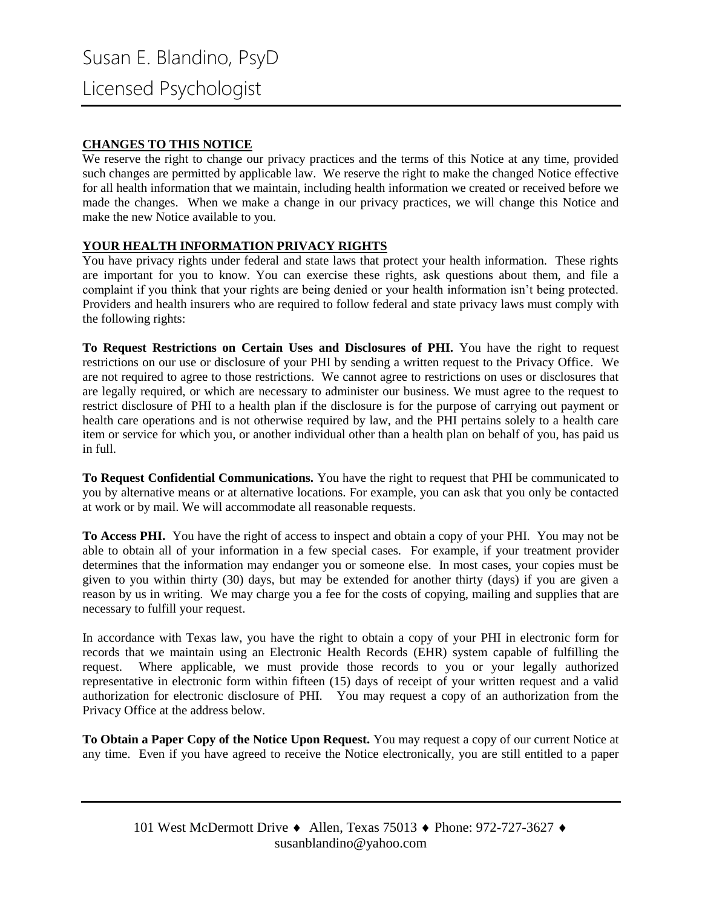#### **CHANGES TO THIS NOTICE**

We reserve the right to change our privacy practices and the terms of this Notice at any time, provided such changes are permitted by applicable law. We reserve the right to make the changed Notice effective for all health information that we maintain, including health information we created or received before we made the changes. When we make a change in our privacy practices, we will change this Notice and make the new Notice available to you.

#### **YOUR HEALTH INFORMATION PRIVACY RIGHTS**

You have privacy rights under federal and state laws that protect your health information. These rights are important for you to know. You can exercise these rights, ask questions about them, and file a complaint if you think that your rights are being denied or your health information isn't being protected. Providers and health insurers who are required to follow federal and state privacy laws must comply with the following rights:

**To Request Restrictions on Certain Uses and Disclosures of PHI.** You have the right to request restrictions on our use or disclosure of your PHI by sending a written request to the Privacy Office. We are not required to agree to those restrictions. We cannot agree to restrictions on uses or disclosures that are legally required, or which are necessary to administer our business. We must agree to the request to restrict disclosure of PHI to a health plan if the disclosure is for the purpose of carrying out payment or health care operations and is not otherwise required by law, and the PHI pertains solely to a health care item or service for which you, or another individual other than a health plan on behalf of you, has paid us in full.

**To Request Confidential Communications.** You have the right to request that PHI be communicated to you by alternative means or at alternative locations. For example, you can ask that you only be contacted at work or by mail. We will accommodate all reasonable requests.

**To Access PHI.** You have the right of access to inspect and obtain a copy of your PHI. You may not be able to obtain all of your information in a few special cases. For example, if your treatment provider determines that the information may endanger you or someone else. In most cases, your copies must be given to you within thirty (30) days, but may be extended for another thirty (days) if you are given a reason by us in writing. We may charge you a fee for the costs of copying, mailing and supplies that are necessary to fulfill your request.

In accordance with Texas law, you have the right to obtain a copy of your PHI in electronic form for records that we maintain using an Electronic Health Records (EHR) system capable of fulfilling the request. Where applicable, we must provide those records to you or your legally authorized representative in electronic form within fifteen (15) days of receipt of your written request and a valid authorization for electronic disclosure of PHI. You may request a copy of an authorization from the Privacy Office at the address below.

**To Obtain a Paper Copy of the Notice Upon Request.** You may request a copy of our current Notice at any time. Even if you have agreed to receive the Notice electronically, you are still entitled to a paper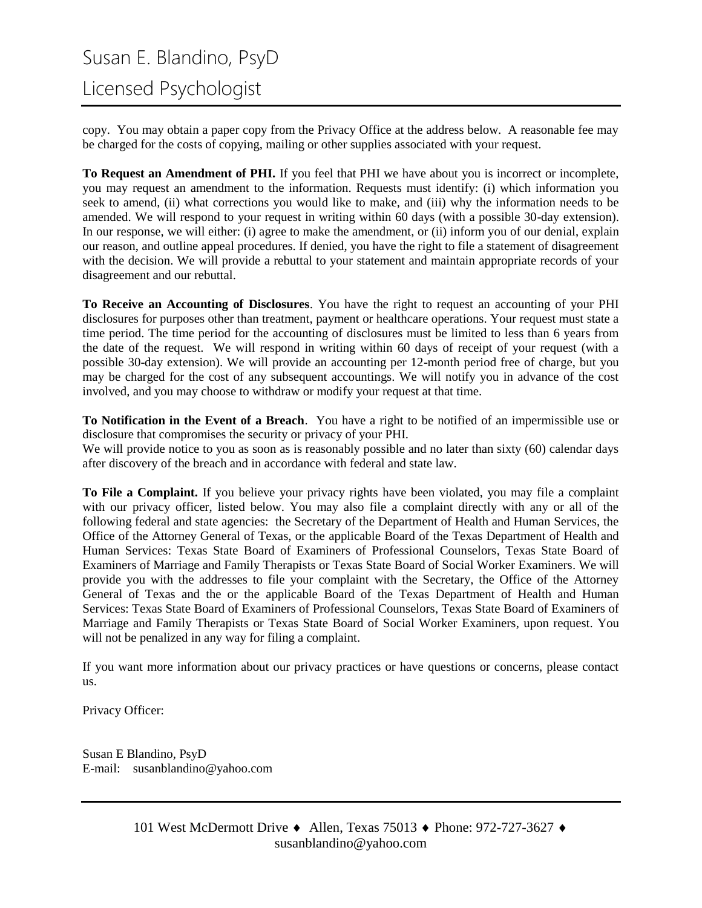# Susan E. Blandino, PsyD

Licensed Psychologist

copy. You may obtain a paper copy from the Privacy Office at the address below. A reasonable fee may be charged for the costs of copying, mailing or other supplies associated with your request.

**To Request an Amendment of PHI.** If you feel that PHI we have about you is incorrect or incomplete, you may request an amendment to the information. Requests must identify: (i) which information you seek to amend, (ii) what corrections you would like to make, and (iii) why the information needs to be amended. We will respond to your request in writing within 60 days (with a possible 30-day extension). In our response, we will either: (i) agree to make the amendment, or (ii) inform you of our denial, explain our reason, and outline appeal procedures. If denied, you have the right to file a statement of disagreement with the decision. We will provide a rebuttal to your statement and maintain appropriate records of your disagreement and our rebuttal.

**To Receive an Accounting of Disclosures**. You have the right to request an accounting of your PHI disclosures for purposes other than treatment, payment or healthcare operations. Your request must state a time period. The time period for the accounting of disclosures must be limited to less than 6 years from the date of the request. We will respond in writing within 60 days of receipt of your request (with a possible 30-day extension). We will provide an accounting per 12-month period free of charge, but you may be charged for the cost of any subsequent accountings. We will notify you in advance of the cost involved, and you may choose to withdraw or modify your request at that time.

**To Notification in the Event of a Breach**. You have a right to be notified of an impermissible use or disclosure that compromises the security or privacy of your PHI.

We will provide notice to you as soon as is reasonably possible and no later than sixty (60) calendar days after discovery of the breach and in accordance with federal and state law.

**To File a Complaint.** If you believe your privacy rights have been violated, you may file a complaint with our privacy officer, listed below. You may also file a complaint directly with any or all of the following federal and state agencies: the Secretary of the Department of Health and Human Services, the Office of the Attorney General of Texas, or the applicable Board of the Texas Department of Health and Human Services: Texas State Board of Examiners of Professional Counselors, Texas State Board of Examiners of Marriage and Family Therapists or Texas State Board of Social Worker Examiners. We will provide you with the addresses to file your complaint with the Secretary, the Office of the Attorney General of Texas and the or the applicable Board of the Texas Department of Health and Human Services: Texas State Board of Examiners of Professional Counselors, Texas State Board of Examiners of Marriage and Family Therapists or Texas State Board of Social Worker Examiners, upon request. You will not be penalized in any way for filing a complaint.

If you want more information about our privacy practices or have questions or concerns, please contact us.

Privacy Officer:

Susan E Blandino, PsyD E-mail: susanblandino@yahoo.com